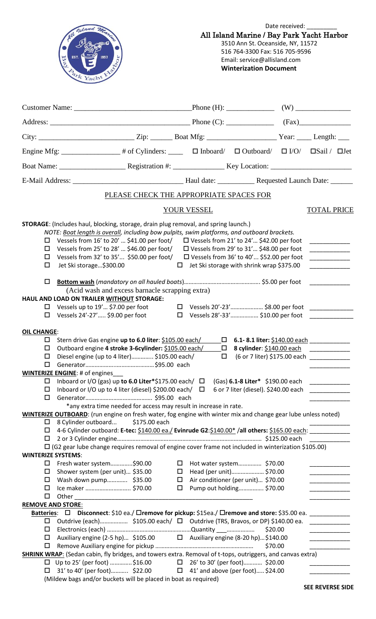

Date received: All Island Marine / Bay Park Yacht Harbor 3510 Ann St. Oceanside, NY, 11572 516 764-3300 Fax: 516 705-9596

Email: service@allisland.com **Winterization Document**

|                                                                      | Engine Mfg: ______________# of Cylinders: _____ □ Inboard/ □ Outboard/ □ I/O/ □Sail / □Jet                                                                                                                                                                                                                                                                                                                                                                                                             |                  |                                                                                                     |                                                                                                               |                    |                                                                                                                                                                                                                                                                                                                                                                                                                        |  |
|----------------------------------------------------------------------|--------------------------------------------------------------------------------------------------------------------------------------------------------------------------------------------------------------------------------------------------------------------------------------------------------------------------------------------------------------------------------------------------------------------------------------------------------------------------------------------------------|------------------|-----------------------------------------------------------------------------------------------------|---------------------------------------------------------------------------------------------------------------|--------------------|------------------------------------------------------------------------------------------------------------------------------------------------------------------------------------------------------------------------------------------------------------------------------------------------------------------------------------------------------------------------------------------------------------------------|--|
|                                                                      |                                                                                                                                                                                                                                                                                                                                                                                                                                                                                                        |                  |                                                                                                     |                                                                                                               |                    |                                                                                                                                                                                                                                                                                                                                                                                                                        |  |
|                                                                      |                                                                                                                                                                                                                                                                                                                                                                                                                                                                                                        |                  |                                                                                                     |                                                                                                               |                    |                                                                                                                                                                                                                                                                                                                                                                                                                        |  |
|                                                                      | PLEASE CHECK THE APPROPRIATE SPACES FOR                                                                                                                                                                                                                                                                                                                                                                                                                                                                |                  |                                                                                                     |                                                                                                               |                    |                                                                                                                                                                                                                                                                                                                                                                                                                        |  |
|                                                                      |                                                                                                                                                                                                                                                                                                                                                                                                                                                                                                        |                  | YOUR VESSEL                                                                                         |                                                                                                               |                    | <b>TOTAL PRICE</b>                                                                                                                                                                                                                                                                                                                                                                                                     |  |
| □<br>□<br>□<br>□<br>$\Box$                                           | <b>STORAGE:</b> (Includes haul, blocking, storage, drain plug removal, and spring launch.)<br>NOTE: Boat length is overall, including bow pulpits, swim platforms, and outboard brackets.<br>Vessels from 16' to 20'  \$41.00 per foot/ □ Vessels from 21' to 24' \$42.00 per foot<br>Vessels from 25' to 28'  \$46.00 per foot/<br>Vessels from 32' to 35' \$50.00 per foot/ □ Vessels from 36' to 40' \$52.00 per foot<br>Jet Ski storage\$300.00<br>(Acid wash and excess barnacle scrapping extra) |                  | $\Box$ Vessels from 29' to 31' \$48.00 per foot<br>$\Box$ Jet Ski storage with shrink wrap \$375.00 |                                                                                                               |                    | <u> 1990 - Jan Barnett, fransk politiker</u>                                                                                                                                                                                                                                                                                                                                                                           |  |
|                                                                      | HAUL AND LOAD ON TRAILER WITHOUT STORAGE:                                                                                                                                                                                                                                                                                                                                                                                                                                                              |                  |                                                                                                     |                                                                                                               |                    |                                                                                                                                                                                                                                                                                                                                                                                                                        |  |
| □<br>0                                                               | Vessels up to $19'$ \$7.00 per foot $\Box$ Vessels 20'-23' \$8.00 per foot<br>Vessels 24'-27' \$9.00 per foot $\square$ Vessels 28'-33' \$10.00 per foot                                                                                                                                                                                                                                                                                                                                               |                  |                                                                                                     |                                                                                                               |                    |                                                                                                                                                                                                                                                                                                                                                                                                                        |  |
| <b>OIL CHANGE:</b><br>□<br>□<br>□<br>$\Box$<br>□<br>$\Box$<br>$\Box$ | Stern drive Gas engine up to 6.0 liter: \$105.00 each/<br>Outboard engine 4 stroke 3-6cylinder: \$105.00 each/ □<br>Diesel engine (up to 4 liter) \$105.00 each/<br><b>WINTERIZE ENGINE: # of engines</b><br>Inboard or I/O (gas) up to 6.0 Liter*\$175.00 each/ $\Box$ (Gas) 6.1-8 Liter* \$190.00 each<br>Inboard or I/O up to 4 liter (diesel) \$200.00 each/ $\Box$<br>*any extra time needed for access may result in increase in rate.                                                           |                  | $\Box$                                                                                              | 8 cylinder: \$140.00 each ___________<br>(6 or 7 liter) \$175.00 each<br>6 or 7 liter (diesel). \$240.00 each |                    | $\begin{tabular}{ccccc} \multicolumn{2}{c }{\textbf{1} & \textbf{2} & \textbf{3} & \textbf{4} & \textbf{5} & \textbf{5} & \textbf{6} & \textbf{7} & \textbf{8} & \textbf{9} & \textbf{10} & \textbf{10} & \textbf{10} & \textbf{10} & \textbf{10} & \textbf{10} & \textbf{10} & \textbf{10} & \textbf{10} & \textbf{10} & \textbf{10} & \textbf{10} & \textbf{10} & \textbf{10} & \textbf{10} & \textbf{10} & \textbf$ |  |
| □                                                                    | <b>WINTERIZE OUTBOARD:</b> (run engine on fresh water, fog engine with winter mix and change gear lube unless noted)<br>8 Cylinder outboard<br>\$175.00 each                                                                                                                                                                                                                                                                                                                                           |                  |                                                                                                     |                                                                                                               |                    |                                                                                                                                                                                                                                                                                                                                                                                                                        |  |
| $\Box$<br>□                                                          | 4-6 Cylinder outboard: E-tec: \$140.00 ea./ Evinrude G2:\$140.00* /all others: \$165.00 each: _________<br>$\Box$ (G2 gear lube change requires removal of engine cover frame not included in winterization \$105.00)                                                                                                                                                                                                                                                                                  |                  |                                                                                                     |                                                                                                               |                    |                                                                                                                                                                                                                                                                                                                                                                                                                        |  |
| <b>WINTERIZE SYSTEMS:</b><br>□                                       | Fresh water system\$90.00                                                                                                                                                                                                                                                                                                                                                                                                                                                                              | $\Box$           |                                                                                                     | Hot water system \$70.00                                                                                      |                    |                                                                                                                                                                                                                                                                                                                                                                                                                        |  |
| □<br>□<br>$\Box$<br>$\Box$                                           | Shower system (per unit) \$35.00<br>Wash down pump \$35.00<br>Ice maker  \$70.00<br>Other                                                                                                                                                                                                                                                                                                                                                                                                              | $\Box$<br>□<br>□ |                                                                                                     | Head (per unit) \$70.00<br>Air conditioner (per unit) \$70.00<br>Pump out holding \$70.00                     |                    | <u> Listen et al.</u><br>and the company of                                                                                                                                                                                                                                                                                                                                                                            |  |
| <b>REMOVE AND STORE:</b>                                             | Batteries: $\Box$ Disconnect: \$10 ea./ Dremove for pickup: \$15ea./ Dremove and store: \$35.00 ea. __________                                                                                                                                                                                                                                                                                                                                                                                         |                  |                                                                                                     |                                                                                                               |                    |                                                                                                                                                                                                                                                                                                                                                                                                                        |  |
| □<br>□<br>□<br>□                                                     | Outdrive (each) \$105.00 each/ □ Outdrive (TRS, Bravos, or DP) \$140.00 ea.<br>Auxiliary engine (2-5 hp) \$105.00 □ Auxiliary engine (8-20 hp)\$140.00                                                                                                                                                                                                                                                                                                                                                 |                  |                                                                                                     |                                                                                                               | \$20.00<br>\$70.00 | <u> 1990 - Johann Barnett, fransk politiker</u>                                                                                                                                                                                                                                                                                                                                                                        |  |
| □                                                                    | <b>SHRINK WRAP:</b> (Sedan cabin, fly bridges, and towers extra. Removal of t-tops, outriggers, and canvas extra)<br>$\Box$ Up to 25' (per foot) \$16.00<br>31' to 40' (per foot) \$22.00<br>(Mildew bags and/or buckets will be placed in boat as required)                                                                                                                                                                                                                                           |                  | $\Box$ 26' to 30' (per foot)\$20.00<br>$\Box$ 41' and above (per foot) \$24.00                      |                                                                                                               |                    |                                                                                                                                                                                                                                                                                                                                                                                                                        |  |